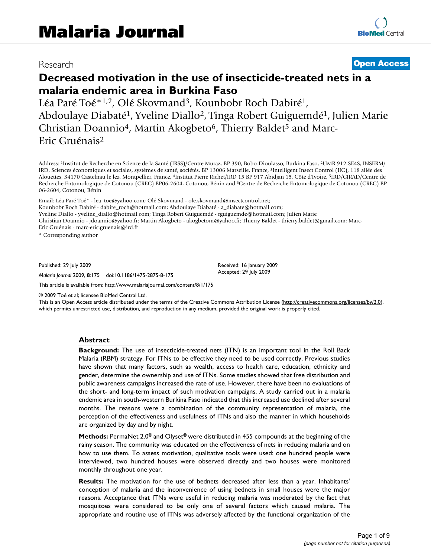# Research **[Open Access](http://www.biomedcentral.com/info/about/charter/)**

# **Decreased motivation in the use of insecticide-treated nets in a malaria endemic area in Burkina Faso**

Léa Paré Toé\*<sup>1,2</sup>, Olé Skovmand<sup>3</sup>, Kounbobr Roch Dabiré<sup>1</sup>, Abdoulaye Diabaté1, Yveline Diallo2, Tinga Robert Guiguemdé1, Julien Marie Christian Doannio<sup>4</sup>, Martin Akogbeto<sup>6</sup>, Thierry Baldet<sup>5</sup> and Marc-Eric Gruénais2

Address: 1Institut de Recherche en Science de la Santé (IRSS)/Centre Muraz, BP 390, Bobo-Dioulasso, Burkina Faso, 2UMR 912-SE4S, INSERM/ IRD, Sciences économiques et sociales, systèmes de santé, sociétés, BP 13006 Marseille, France, 3Intelligent Insect Control (IIC), 118 allée des Alouettes, 34170 Castelnau le lez, Montpellier, France, 4Institut Pierre Richet/IRD 15 BP 917 Abidjan 15, Côte d'Ivoire, 5IRD/CIRAD/Centre de Recherche Entomologique de Cotonou (CREC) BP06-2604, Cotonou, Bénin and 6Centre de Recherche Entomologique de Cotonou (CREC) BP 06-2604, Cotonou, Bénin

Email: Léa Paré Toé\* - lea\_toe@yahoo.com; Olé Skovmand - ole.skovmand@insectcontrol.net; Kounbobr Roch Dabiré - dabire\_roch@hotmail.com; Abdoulaye Diabaté - a\_diabate@hotmail.com; Yveline Diallo - yveline\_diallo@hotmail.com; Tinga Robert Guiguemdé - rguiguemde@hotmail.com; Julien Marie Christian Doannio - jdoannio@yahoo.fr; Martin Akogbeto - akogbetom@yahoo.fr; Thierry Baldet - thierry.baldet@gmail.com; Marc-Eric Gruénais - marc-eric.gruenais@ird.fr

\* Corresponding author

Published: 29 July 2009

*Malaria Journal* 2009, **8**:175 doi:10.1186/1475-2875-8-175

Accepted: 29 July 2009

Received: 16 January 2009

[This article is available from: http://www.malariajournal.com/content/8/1/175](http://www.malariajournal.com/content/8/1/175)

© 2009 Toé et al; licensee BioMed Central Ltd.

This is an Open Access article distributed under the terms of the Creative Commons Attribution License [\(http://creativecommons.org/licenses/by/2.0\)](http://creativecommons.org/licenses/by/2.0), which permits unrestricted use, distribution, and reproduction in any medium, provided the original work is properly cited.

#### **Abstract**

**Background:** The use of insecticide-treated nets (ITN) is an important tool in the Roll Back Malaria (RBM) strategy. For ITNs to be effective they need to be used correctly. Previous studies have shown that many factors, such as wealth, access to health care, education, ethnicity and gender, determine the ownership and use of ITNs. Some studies showed that free distribution and public awareness campaigns increased the rate of use. However, there have been no evaluations of the short- and long-term impact of such motivation campaigns. A study carried out in a malaria endemic area in south-western Burkina Faso indicated that this increased use declined after several months. The reasons were a combination of the community representation of malaria, the perception of the effectiveness and usefulness of ITNs and also the manner in which households are organized by day and by night.

**Methods:** PermaNet 2.0® and Olyset® were distributed in 455 compounds at the beginning of the rainy season. The community was educated on the effectiveness of nets in reducing malaria and on how to use them. To assess motivation, qualitative tools were used: one hundred people were interviewed, two hundred houses were observed directly and two houses were monitored monthly throughout one year.

**Results:** The motivation for the use of bednets decreased after less than a year. Inhabitants' conception of malaria and the inconvenience of using bednets in small houses were the major reasons. Acceptance that ITNs were useful in reducing malaria was moderated by the fact that mosquitoes were considered to be only one of several factors which caused malaria. The appropriate and routine use of ITNs was adversely affected by the functional organization of the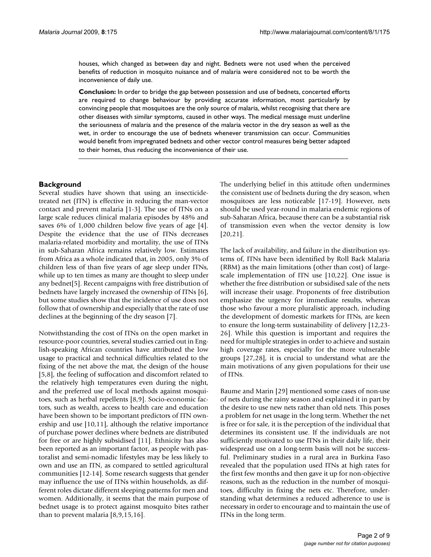houses, which changed as between day and night. Bednets were not used when the perceived benefits of reduction in mosquito nuisance and of malaria were considered not to be worth the inconvenience of daily use.

**Conclusion:** In order to bridge the gap between possession and use of bednets, concerted efforts are required to change behaviour by providing accurate information, most particularly by convincing people that mosquitoes are the only source of malaria, whilst recognising that there are other diseases with similar symptoms, caused in other ways. The medical message must underline the seriousness of malaria and the presence of the malaria vector in the dry season as well as the wet, in order to encourage the use of bednets whenever transmission can occur. Communities would benefit from impregnated bednets and other vector control measures being better adapted to their homes, thus reducing the inconvenience of their use.

## **Background**

Several studies have shown that using an insecticidetreated net (ITN) is effective in reducing the man-vector contact and prevent malaria [\[1](#page-7-0)-[3\]](#page-7-1). The use of ITNs on a large scale reduces clinical malaria episodes by 48% and saves 6% of 1,000 children below five years of age [[4](#page-7-2)]. Despite the evidence that the use of ITNs decreases malaria-related morbidity and mortality, the use of ITNs in sub-Saharan Africa remains relatively low. Estimates from Africa as a whole indicated that, in 2005, only 3% of children less of than five years of age sleep under ITNs, while up to ten times as many are thought to sleep under any bednet[\[5](#page-7-3)]. Recent campaigns with free distribution of bednets have largely increased the ownership of ITNs [[6](#page-7-4)], but some studies show that the incidence of use does not follow that of ownership and especially that the rate of use declines at the beginning of the dry season [\[7\]](#page-7-5).

Notwithstanding the cost of ITNs on the open market in resource-poor countries, several studies carried out in English-speaking African countries have attributed the low usage to practical and technical difficulties related to the fixing of the net above the mat, the design of the house [[5](#page-7-3)[,8\]](#page-7-6), the feeling of suffocation and discomfort related to the relatively high temperatures even during the night, and the preferred use of local methods against mosquitoes, such as herbal repellents [\[8](#page-7-6)[,9\]](#page-7-7). Socio-economic factors, such as wealth, access to health care and education have been shown to be important predictors of ITN ownership and use [[10](#page-7-8),[11\]](#page-7-9), although the relative importance of purchase power declines where bednets are distributed for free or are highly subsidised [[11\]](#page-7-9). Ethnicity has also been reported as an important factor, as people with pastoralist and semi-nomadic lifestyles may be less likely to own and use an ITN, as compared to settled agricultural communities [[12](#page-7-10)[-14](#page-7-11)]. Some research suggests that gender may influence the use of ITNs within households, as different roles dictate different sleeping patterns for men and women. Additionally, it seems that the main purpose of bednet usage is to protect against mosquito bites rather than to prevent malaria [\[8](#page-7-6),[9](#page-7-7),[15,](#page-8-0)[16](#page-8-1)].

The underlying belief in this attitude often undermines the consistent use of bednets during the dry season, when mosquitoes are less noticeable [\[17](#page-8-2)[-19](#page-8-3)]. However, nets should be used year-round in malaria endemic regions of sub-Saharan Africa, because there can be a substantial risk of transmission even when the vector density is low [[20](#page-8-4),[21\]](#page-8-5).

The lack of availability, and failure in the distribution systems of, ITNs have been identified by Roll Back Malaria (RBM) as the main limitations (other than cost) of largescale implementation of ITN use [\[10](#page-7-8),[22\]](#page-8-6). One issue is whether the free distribution or subsidised sale of the nets will increase their usage. Proponents of free distribution emphasize the urgency for immediate results, whereas those who favour a more pluralistic approach, including the development of domestic markets for ITNs, are keen to ensure the long-term sustainability of delivery [[12,](#page-7-10)[23-](#page-8-7) [26\]](#page-8-8). While this question is important and requires the need for multiple strategies in order to achieve and sustain high coverage rates, especially for the more vulnerable groups [\[27](#page-8-9)[,28](#page-8-10)], it is crucial to understand what are the main motivations of any given populations for their use of ITNs.

Baume and Marin [[29\]](#page-8-11) mentioned some cases of non-use of nets during the rainy season and explained it in part by the desire to use new nets rather than old nets. This poses a problem for net usage in the long term. Whether the net is free or for sale, it is the perception of the individual that determines its consistent use. If the individuals are not sufficiently motivated to use ITNs in their daily life, their widespread use on a long-term basis will not be successful. Preliminary studies in a rural area in Burkina Faso revealed that the population used ITNs at high rates for the first few months and then gave it up for non-objective reasons, such as the reduction in the number of mosquitoes, difficulty in fixing the nets etc. Therefore, understanding what determines a reduced adherence to use is necessary in order to encourage and to maintain the use of ITNs in the long term.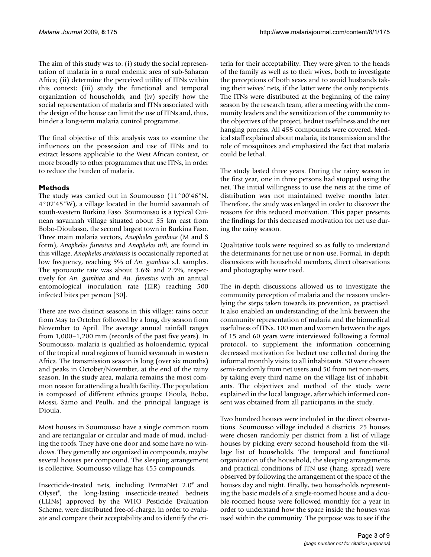The aim of this study was to: (i) study the social representation of malaria in a rural endemic area of sub-Saharan Africa; (ii) determine the perceived utility of ITNs within this context; (iii) study the functional and temporal organization of households; and (iv) specify how the social representation of malaria and ITNs associated with the design of the house can limit the use of ITNs and, thus, hinder a long-term malaria control programme.

The final objective of this analysis was to examine the influences on the possession and use of ITNs and to extract lessons applicable to the West African context, or more broadly to other programmes that use ITNs, in order to reduce the burden of malaria.

# **Methods**

The study was carried out in Soumousso (11°00'46"N, 4°02'45"W), a village located in the humid savannah of south-western Burkina Faso. Soumousso is a typical Guinean savannah village situated about 55 km east from Bobo-Dioulasso, the second largest town in Burkina Faso. Three main malaria vectors, *Anopheles gambiae* (M and S form), *Anopheles funestus* and *Anopheles nili*, are found in this village. *Anopheles arabiensis* is occasionally reported at low frequency, reaching 5% of *An. gambiae* s.l. samples. The sporozoïte rate was about 3.6% and 2.9%, respectively for *An. gambiae* and *An. funestus* with an annual entomological inoculation rate (EIR) reaching 500 infected bites per person [\[30](#page-8-12)].

There are two distinct seasons in this village: rains occur from May to October followed by a long, dry season from November to April. The average annual rainfall ranges from 1,000–1,200 mm (records of the past five years). In Soumousso, malaria is qualified as holoendemic, typical of the tropical rural regions of humid savannah in western Africa. The transmission season is long (over six months) and peaks in October/November, at the end of the rainy season. In the study area, malaria remains the most common reason for attending a health facility. The population is composed of different ethnics groups: Dioula, Bobo, Mossi, Samo and Peulh, and the principal language is Dioula.

Most houses in Soumousso have a single common room and are rectangular or circular and made of mud, including the roofs. They have one door and some have no windows. They generally are organized in compounds, maybe several houses per compound. The sleeping arrangement is collective. Soumousso village has 455 compounds.

Insecticide-treated nets, including PermaNet 2.0® and Olyset®, the long-lasting insecticide-treated bednets (LLINs) approved by the WHO Pesticide Evaluation Scheme, were distributed free-of-charge, in order to evaluate and compare their acceptability and to identify the criteria for their acceptability. They were given to the heads of the family as well as to their wives, both to investigate the perceptions of both sexes and to avoid husbands taking their wives' nets, if the latter were the only recipients. The ITNs were distributed at the beginning of the rainy season by the research team, after a meeting with the community leaders and the sensitization of the community to the objectives of the project, bednet usefulness and the net hanging process. All 455 compounds were covered. Medical staff explained about malaria, its transmission and the role of mosquitoes and emphasized the fact that malaria could be lethal.

The study lasted three years. During the rainy season in the first year, one in three persons had stopped using the net. The initial willingness to use the nets at the time of distribution was not maintained twelve months later. Therefore, the study was enlarged in order to discover the reasons for this reduced motivation. This paper presents the findings for this decreased motivation for net use during the rainy season.

Qualitative tools were required so as fully to understand the determinants for net use or non-use. Formal, in-depth discussions with household members, direct observations and photography were used.

The in-depth discussions allowed us to investigate the community perception of malaria and the reasons underlying the steps taken towards its prevention, as practised. It also enabled an understanding of the link between the community representation of malaria and the biomedical usefulness of ITNs. 100 men and women between the ages of 15 and 60 years were interviewed following a formal protocol, to supplement the information concerning decreased motivation for bednet use collected during the informal monthly visits to all inhabitants. 50 were chosen semi-randomly from net users and 50 from net non-users, by taking every third name on the village list of inhabitants. The objectives and method of the study were explained in the local language, after which informed consent was obtained from all participants in the study.

Two hundred houses were included in the direct observations. Soumousso village included 8 districts. 25 houses were chosen randomly per district from a list of village houses by picking every second household from the village list of households. The temporal and functional organization of the household, the sleeping arrangements and practical conditions of ITN use (hang, spread) were observed by following the arrangement of the space of the houses day and night. Finally, two households representing the basic models of a single-roomed house and a double-roomed house were followed monthly for a year in order to understand how the space inside the houses was used within the community. The purpose was to see if the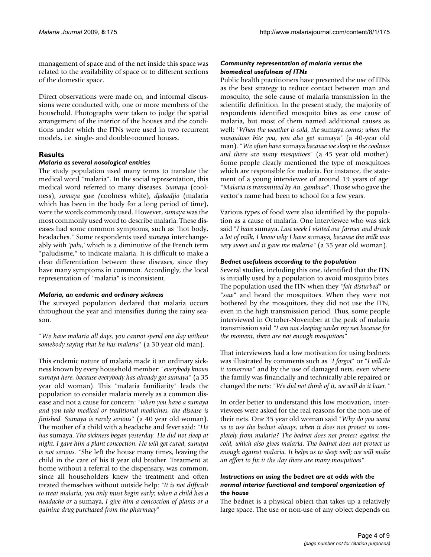management of space and of the net inside this space was related to the availability of space or to different sections of the domestic space.

Direct observations were made on, and informal discussions were conducted with, one or more members of the household. Photographs were taken to judge the spatial arrangement of the interior of the houses and the conditions under which the ITNs were used in two recurrent models, i.e. single- and double-roomed houses.

# **Results**

# *Malaria as several nosological entities*

The study population used many terms to translate the medical word "malaria". In the social representation, this medical word referred to many diseases. *Sumaya* (coolness), *sumaya gwe (*coolness white), *djakadjio* (malaria which has been in the body for a long period of time), were the words commonly used. However, *sumaya* was the most commonly used word to describe malaria. These diseases had some common symptoms, such as "hot body, headaches." Some respondents used *sumaya* interchangeably with '*palu*,' which is a diminutive of the French term "paludisme," to indicate malaria. It is difficult to make a clear differentiation between these diseases, since they have many symptoms in common. Accordingly, the local representation of "malaria" is inconsistent.

## *Malaria, an endemic and ordinary sickness*

The surveyed population declared that malaria occurs throughout the year and intensifies during the rainy season.

"*We have malaria all days, you cannot spend one day without somebody saying that he has malaria*" (a 30 year old man).

This endemic nature of malaria made it an ordinary sickness known by every household member: "*everybody knows sumaya here, because everybody has already got sumaya"* (a 35 year old woman). This "malaria familiarity" leads the population to consider malaria merely as a common disease and not a cause for concern: *"when you have a sumaya and you take medical or traditional medicines, the disease is finished. Sumaya is rarely serious"* (a 40 year old woman). The mother of a child with a headache and fever said: "*He has* sumaya. *The sickness began yesterday. He did not sleep at night. I gave him a plant concoction. He will get cured, sumaya is not serious*. "She left the house many times, leaving the child in the care of his 8 year old brother. Treatment at home without a referral to the dispensary, was common, since all householders knew the treatment and often treated themselves without outside help: *"It is not difficult to treat malaria, you only must begin early; when a child has a headache or* a sumaya, *I give him a concoction of plants or a quinine drug purchased from the pharmacy"*

# *Community representation of malaria versus the biomedical usefulness of ITNs*

Public health practitioners have presented the use of ITNs as the best strategy to reduce contact between man and mosquito, the sole cause of malaria transmission in the scientific definition. In the present study, the majority of respondents identified mosquito bites as one cause of malaria, but most of them named additional causes as well: "*When the weather is cold, the* sumaya *comes; when the mosquitoes bite you, you also get* sumaya" (a 40-year old man). "*We often have* sumaya *because we sleep in the coolness and there are many mosquitoes*" (a 45 year old mother). Some people clearly mentioned the type of mosquitoes which are responsible for malaria. For instance, the statement of a young interviewee of around 19 years of age: "*Malaria is transmitted by An. gambiae*". Those who gave the vector's name had been to school for a few years.

Various types of food were also identified by the population as a cause of malaria. One interviewee who was sick said "*I have* sumaya. *Last week I visited our farmer and drank a lot of milk, I know why I have* sumaya, *because the milk was very sweet and it gave me malaria"* (a 35 year old woman).

# *Bednet usefulness according to the population*

Several studies, including this one, identified that the ITN is initially used by a population to avoid mosquito bites. The population used the ITN when they "*felt disturbed*" or "*saw*" and heard the mosquitoes. When they were not bothered by the mosquitoes, they did not use the ITN, even in the high transmission period. Thus, some people interviewed in October-November at the peak of malaria transmission said *"I am not sleeping under my net because for the moment, there are not enough mosquitoes"*.

That interviewees had a low motivation for using bednets was illustrated by comments such as "*I forgot*" or "*I will do it tomorrow*" and by the use of damaged nets, even where the family was financially and technically able repaired or changed the nets: "*We did not think of it, we will do it later."*

In order better to understand this low motivation, interviewees were asked for the real reasons for the non-use of their nets. One 35 year old woman said "*Why do you want us to use the bednet always, when it does not protect us completely from malaria? The bednet does not protect against the cold, which also gives malaria. The bednet does not protect us enough against malaria. It helps us to sleep well; we will make an effort to fix it the day there are many mosquitoes"*.

# *Instructions on using the bednet are at odds with the normal interior functional and temporal organization of the house*

The bednet is a physical object that takes up a relatively large space. The use or non-use of any object depends on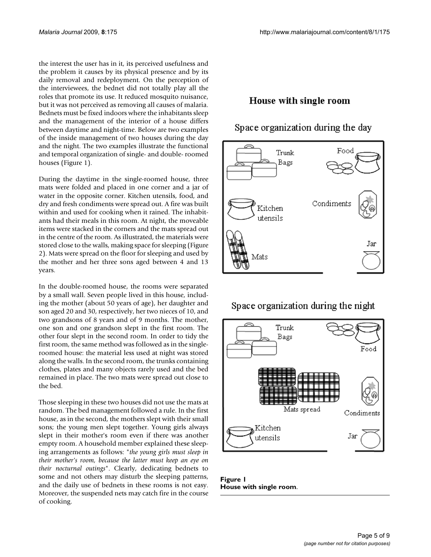the interest the user has in it, its perceived usefulness and the problem it causes by its physical presence and by its daily removal and redeployment. On the perception of the interviewees, the bednet did not totally play all the roles that promote its use. It reduced mosquito nuisance, but it was not perceived as removing all causes of malaria. Bednets must be fixed indoors where the inhabitants sleep and the management of the interior of a house differs between daytime and night-time. Below are two examples of the inside management of two houses during the day and the night. The two examples illustrate the functional and temporal organization of single- and double- roomed houses (Figure [1\)](#page-4-0).

During the daytime in the single-roomed house, three mats were folded and placed in one corner and a jar of water in the opposite corner. Kitchen utensils, food, and dry and fresh condiments were spread out. A fire was built within and used for cooking when it rained. The inhabitants had their meals in this room. At night, the moveable items were stacked in the corners and the mats spread out in the centre of the room. As illustrated, the materials were stored close to the walls, making space for sleeping (Figure [2\)](#page-5-0). Mats were spread on the floor for sleeping and used by the mother and her three sons aged between 4 and 13 years.

In the double-roomed house, the rooms were separated by a small wall. Seven people lived in this house, including the mother (about 50 years of age), her daughter and son aged 20 and 30, respectively, her two nieces of 10, and two grandsons of 8 years and of 9 months. The mother, one son and one grandson slept in the first room. The other four slept in the second room. In order to tidy the first room, the same method was followed as in the singleroomed house: the material less used at night was stored along the walls. In the second room, the trunks containing clothes, plates and many objects rarely used and the bed remained in place. The two mats were spread out close to the bed.

Those sleeping in these two houses did not use the mats at random. The bed management followed a rule. In the first house, as in the second, the mothers slept with their small sons; the young men slept together. Young girls always slept in their mother's room even if there was another empty room. A household member explained these sleeping arrangements as follows: "*the young girls must sleep in their mother's room, because the latter must keep an eye on their nocturnal outings*". Clearly, dedicating bednets to some and not others may disturb the sleeping patterns, and the daily use of bednets in these rooms is not easy. Moreover, the suspended nets may catch fire in the course of cooking.

# <span id="page-4-0"></span>House with single room

# Space organization during the day



# Space organization during the night



**Figure 1 House with single room**.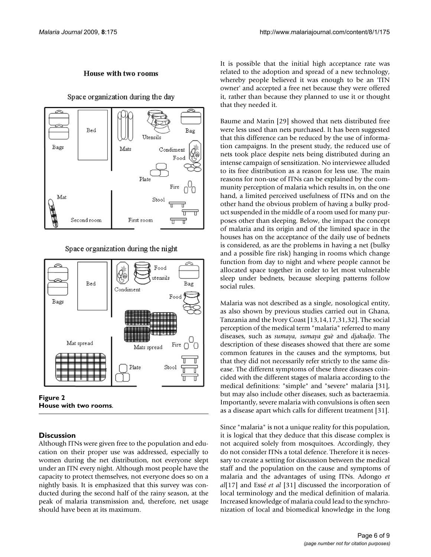#### **House with two rooms**

Space organization during the day

<span id="page-5-0"></span>

Space organization during the night



**Figure 2 House with two rooms**.

#### **Discussion**

Although ITNs were given free to the population and education on their proper use was addressed, especially to women during the net distribution, not everyone slept under an ITN every night. Although most people have the capacity to protect themselves, not everyone does so on a nightly basis. It is emphasized that this survey was conducted during the second half of the rainy season, at the peak of malaria transmission and, therefore, net usage should have been at its maximum.

It is possible that the initial high acceptance rate was related to the adoption and spread of a new technology, whereby people believed it was enough to be an 'ITN owner' and accepted a free net because they were offered it, rather than because they planned to use it or thought that they needed it.

Baume and Marin [[29](#page-8-11)] showed that nets distributed free were less used than nets purchased. It has been suggested that this difference can be reduced by the use of information campaigns. In the present study, the reduced use of nets took place despite nets being distributed during an intense campaign of sensitization. No interviewee alluded to its free distribution as a reason for less use. The main reasons for non-use of ITNs can be explained by the community perception of malaria which results in, on the one hand, a limited perceived usefulness of ITNs and on the other hand the obvious problem of having a bulky product suspended in the middle of a room used for many purposes other than sleeping. Below, the impact the concept of malaria and its origin and of the limited space in the houses has on the acceptance of the daily use of bednets is considered, as are the problems in having a net (bulky and a possible fire risk) hanging in rooms which change function from day to night and where people cannot be allocated space together in order to let most vulnerable sleep under bednets, because sleeping patterns follow social rules.

Malaria was not described as a single, nosological entity, as also shown by previous studies carried out in Ghana, Tanzania and the Ivory Coast [\[13](#page-7-12)[,14](#page-7-11),[17,](#page-8-2)[31](#page-8-13),[32](#page-8-14)]. The social perception of the medical term "malaria" referred to many diseases, such as *sumaya, sumaya guè* and *djakadjo*. The description of these diseases showed that there are some common features in the causes and the symptoms, but that they did not necessarily refer strictly to the same disease. The different symptoms of these three diseases coincided with the different stages of malaria according to the medical definitions: "simple" and "severe" malaria [\[31](#page-8-13)], but may also include other diseases, such as bacteraemia. Importantly, severe malaria with convulsions is often seen as a disease apart which calls for different treatment [\[31](#page-8-13)].

Since "malaria" is not a unique reality for this population, it is logical that they deduce that this disease complex is not acquired solely from mosquitoes. Accordingly, they do not consider ITNs a total defence. Therefore it is necessary to create a setting for discussion between the medical staff and the population on the cause and symptoms of malaria and the advantages of using ITNs. Adongo *et al*[[17\]](#page-8-2) and Essé *et al* [\[31](#page-8-13)] discussed the incorporation of local terminology and the medical definition of malaria. Increased knowledge of malaria could lead to the synchronization of local and biomedical knowledge in the long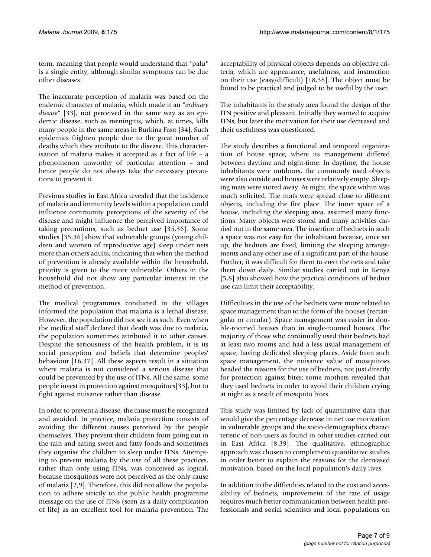term, meaning that people would understand that "palu" is a single entity, although similar symptoms can be due other diseases.

The inaccurate perception of malaria was based on the endemic character of malaria, which made it an "*ordinary disease*" [[33](#page-8-15)], not perceived in the same way as an epidemic disease, such as meningitis, which, at times, kills many people in the same areas in Burkina Faso [[34](#page-8-16)]. Such epidemics frighten people due to the great number of deaths which they attribute to the disease. This characterisation of malaria makes it accepted as a fact of life – a phenomenon unworthy of particular attention – and hence people do not always take the necessary precautions to prevent it.

Previous studies in East Africa revealed that the incidence of malaria and immunity levels within a population could influence community perceptions of the severity of the disease and might influence the perceived importance of taking precautions, such as bednet use [\[35](#page-8-17),[36](#page-8-18)]. Some studies [[35](#page-8-17),[36\]](#page-8-18) show that vulnerable groups (young children and women of reproductive age) sleep under nets more than others adults, indicating that when the method of prevention is already available within the household, priority is given to the more vulnerable. Others in the household did not show any particular interest in the method of prevention.

The medical programmes conducted in the villages informed the population that malaria is a lethal disease. However, the population did not see it as such. Even when the medical staff declared that death was due to malaria, the population sometimes attributed it to other causes. Despite the seriousness of the health problem, it is its social perception and beliefs that determine peoples' behaviour [[16,](#page-8-1)[37\]](#page-8-19). All these aspects result in a situation where malaria is not considered a serious disease that could be prevented by the use of ITNs. All the same, some people invest in protection against mosquitoes[[33](#page-8-15)], but to fight against nuisance rather than disease.

In order to prevent a disease, the cause must be recognized and avoided. In practice, malaria protection consists of avoiding the different causes perceived by the people themselves. They prevent their children from going out in the rain and eating sweet and fatty foods and sometimes they organise the children to sleep under ITNs. Attempting to prevent malaria by the use of all these practices, rather than only using ITNs, was conceived as logical, because mosquitoes were not perceived as the only cause of malaria [[2](#page-7-13),[9](#page-7-7)]. Therefore, this did not allow the population to adhere strictly to the public health programme message on the use of ITNs (seen as a daily complication of life) as an excellent tool for malaria prevention. The acceptability of physical objects depends on objective criteria, which are appearance, usefulness, and instruction on their use (easy/difficult) [[18,](#page-8-20)[38\]](#page-8-21). The object must be found to be practical and judged to be useful by the user.

The inhabitants in the study area found the design of the ITN positive and pleasant. Initially they wanted to acquire ITNs, but later the motivation for their use decreased and their usefulness was questioned.

The study describes a functional and temporal organization of house space, where its management differed between daytime and night-time. In daytime, the house inhabitants were outdoors, the commonly used objects were also outside and houses were relatively empty. Sleeping mats were stored away. At night, the space within was much solicited. The mats were spread close to different objects, including the fire place. The inner space of a house, including the sleeping area, assumed many functions. Many objects were stored and many activities carried out in the same area. The insertion of bednets in such a space was not easy for the inhabitant because, once set up, the bednets are fixed, limiting the sleeping arrangements and any other use of a significant part of the house. Further, it was difficult for them to erect the nets and take them down daily. Similar studies carried out in Kenya [[5](#page-7-3)[,8\]](#page-7-6) also showed how the practical conditions of bednet use can limit their acceptability.

Difficulties in the use of the bednets were more related to space management than to the form of the houses (rectangular or circular). Space management was easier in double-roomed houses than in single-roomed houses. The majority of those who continually used their bednets had at least two rooms and had a less usual management of space, having dedicated sleeping places. Aside from such space management, the nuisance value of mosquitoes headed the reasons for the use of bednets, not just directly for protection against bites: some mothers revealed that they used bednets in order to avoid their children crying at night as a result of mosquito bites.

This study was limited by lack of quantitative data that would give the percentage decrease in net use motivation in vulnerable groups and the socio-demographics characteristic of non-users as found in other studies carried out in East Africa [[8](#page-7-6),[39](#page-8-22)]. The qualitative, ethnographic approach was chosen to complement quantitative studies in order better to explain the reasons for the decreased motivation, based on the local population's daily lives.

In addition to the difficulties related to the cost and accessibility of bednets, improvement of the rate of usage requires much better communication between health professionals and social scientists and local populations on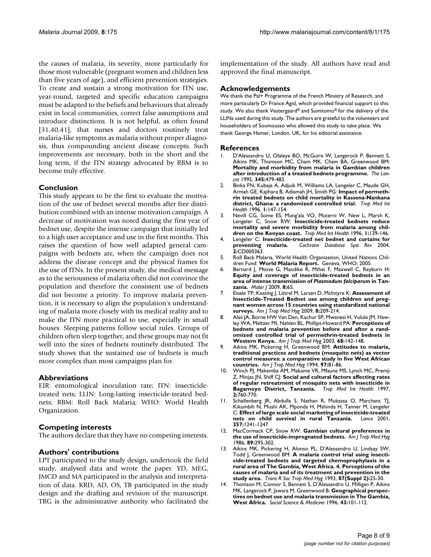the causes of malaria, its severity, more particularly for those most vulnerable (pregnant women and children less than five years of age), and efficient prevention strategies. To create and sustain a strong motivation for ITN use, year-round, targeted and specific education campaigns must be adapted to the beliefs and behaviours that already exist in local communities, correct false assumptions and introduce distinctions. It is not helpful, as often found [[31](#page-8-13),[40](#page-8-23)[,41](#page-8-24)], that nurses and doctors routinely treat malaria-like symptoms as malaria without proper diagnosis, thus compounding ancient disease concepts. Such improvements are necessary, both in the short and the long term, if the ITN strategy advocated by RBM is to become truly effective.

# **Conclusion**

This study appears to be the first to evaluate the motivation of the use of bednet several months after free distribution combined with an intense motivation campaign. A decrease of motivation was noted during the first year of bednet use, despite the intense campaign that initially led to a high user acceptance and use in the first months. This raises the question of how well adapted general campaigns with bednets are, when the campaign does not address the disease concept and the physical frames for the use of ITNs. In the present study, the medical message as to the seriousness of malaria often did not convince the population and therefore the consistent use of bednets did not become a priority. To improve malaria prevention, it is necessary to align the population's understanding of malaria more closely with its medical reality and to make the ITN more practical to use, especially in small houses. Sleeping patterns follow social rules. Groups of children often sleep together, and these groups may not fit well into the sizes of bednets routinely distributed. The study shows that the sustained use of bednets is much more complex than most campaigns plan for.

# **Abbreviations**

EIR: entomological inoculation rate; ITN: insecticidetreated nets; LLIN: Long-lasting insecticide-treated bednets; RBM: Roll Back Malaria; WHO: World Health Organization.

## **Competing interests**

The authors declare that they have no competing interests.

## **Authors' contributions**

LPT participated to the study design, undertook the field study, analysed data and wrote the paper. YD, MEG, JMCD and MA participated in the analysis and interpretation of data. KRD, AD, OS, TB participated in the study design and the drafting and revision of the manuscript. TRG is the administrative authority who facilitated the implementation of the study. All authors have read and approved the final manuscript.

### **Acknowledgements**

We thank the Pal+ Programme of the French Ministry of Research, and more particularly Dr France Agid, which provided financial support to this study. We also thank Vestergaard® and Sumitomo® for the delivery of the LLINs used during this study. The authors are grateful to the volunteers and householders of Soumousso who allowed this study to take place. We thank George Hamer, London, UK, for his editorial assistance.

#### **References**

- <span id="page-7-0"></span>D'Alessandro U, Olaleye BO, McGuire W, Langerock P, Bennett S, Aikins MK, Thomson MC, Cham MK, Cham BA, Greenwood BM: **Mortality and morbidity from malaria in Gambian children after introduction of a treated bednets programme.** *The Lancet* 1995, **345:**479-483.
- <span id="page-7-13"></span>2. Binka FN, Kubaje A, Adjuik M, Williams LA, Lengeler C, Maude GH, Armah GE, Kajihara B, Adiamah JH, Smith PG: **[Impact of permeth](http://www.ncbi.nlm.nih.gov/entrez/query.fcgi?cmd=Retrieve&db=PubMed&dopt=Abstract&list_uids=8665378)[rin treated bednets on child mortality in Kassena-Nankana](http://www.ncbi.nlm.nih.gov/entrez/query.fcgi?cmd=Retrieve&db=PubMed&dopt=Abstract&list_uids=8665378) [district, Ghana: a randomized controlled trial.](http://www.ncbi.nlm.nih.gov/entrez/query.fcgi?cmd=Retrieve&db=PubMed&dopt=Abstract&list_uids=8665378)** *Trop Med Int Health* 1996, **1:**147-154.
- <span id="page-7-1"></span>3. Nevill CG, Some ES, Mung'ala VO, Muterni W, New L, Marsh K, Lengeler C, Snow RW: **[Insecticide-treated bednets reduce](http://www.ncbi.nlm.nih.gov/entrez/query.fcgi?cmd=Retrieve&db=PubMed&dopt=Abstract&list_uids=8665377) [mortality and severe morbidity from malaria among chil](http://www.ncbi.nlm.nih.gov/entrez/query.fcgi?cmd=Retrieve&db=PubMed&dopt=Abstract&list_uids=8665377)[dren on the Kenyan coast.](http://www.ncbi.nlm.nih.gov/entrez/query.fcgi?cmd=Retrieve&db=PubMed&dopt=Abstract&list_uids=8665377)** *Trop Med Int Health* 1996, **1:**139-146.
- <span id="page-7-2"></span>Lengeler C: [Insecticide-treated net bednet and curtains for](http://www.ncbi.nlm.nih.gov/entrez/query.fcgi?cmd=Retrieve&db=PubMed&dopt=Abstract&list_uids=15106149) preventing malaria. Cochrane Database Syst Rev 2004, **[preventing malaria.](http://www.ncbi.nlm.nih.gov/entrez/query.fcgi?cmd=Retrieve&db=PubMed&dopt=Abstract&list_uids=15106149)** *Cochrane Database Syst Rev* 2004, **2:**CD000363.
- <span id="page-7-3"></span>5. Roll Back Malaria, World Health Organization, United Nations Children Fund: **World Malaria Report.** Geneva, WHO; 2005.
- <span id="page-7-4"></span>6. Bernard J, Mtove G, Mandike R, Mthei F, Maxwell C, Reyburn H: **Equity and coverage of insecticide-treated bednets in an area of intense transmission of** *Plasmodum falciparum* **[in Tan](http://www.ncbi.nlm.nih.gov/entrez/query.fcgi?cmd=Retrieve&db=PubMed&dopt=Abstract&list_uids=19371415)[zania.](http://www.ncbi.nlm.nih.gov/entrez/query.fcgi?cmd=Retrieve&db=PubMed&dopt=Abstract&list_uids=19371415)** *Malar J* 2009, **8:**65.
- <span id="page-7-5"></span>7. Eisele TP, Keating J, Littrel M, Larsen D, McIntyre K: **Assessment of Insecticide-Treated Bednet use among children and pregnant women across 15 countries using standardized national surveys.** *Am J Trop Med Hyg* 2009, **8:**209-214.
- <span id="page-7-6"></span>8. Alaii JA, Borne HW Van Den, Kachur SP, Mwenesi H, Vulule JM, Hawley WA, Meltzer MI, Nahlen BL, Phillips-Howard PA: **[Perceptions of](http://www.ncbi.nlm.nih.gov/entrez/query.fcgi?cmd=Retrieve&db=PubMed&dopt=Abstract&list_uids=12749498) [bednets and malaria prevention before and after a rand](http://www.ncbi.nlm.nih.gov/entrez/query.fcgi?cmd=Retrieve&db=PubMed&dopt=Abstract&list_uids=12749498)omized controlled trial of permethrin-treated bednets in [Western Kenya.](http://www.ncbi.nlm.nih.gov/entrez/query.fcgi?cmd=Retrieve&db=PubMed&dopt=Abstract&list_uids=12749498)** *Am J Trop Med Hyg* 2003, **68:**142-148.
- <span id="page-7-7"></span>9. Aikins MK, Pickering H, Greenwood BM: **Attitudes to malaria, traditional practices and bednets (mosquito nets) as vector control measures: a comparative study in five West African countries.** *Am J Trop Med Hyg* 1994, **97:**81-86.
- <span id="page-7-8"></span>10. Winch PJ, Makemba AM, Makame VR, Mfaune MS, Lynch MC, Premji Z, Minjas JN, Shiff CJ: **[Social and cultural factors affecting rates](http://www.ncbi.nlm.nih.gov/entrez/query.fcgi?cmd=Retrieve&db=PubMed&dopt=Abstract&list_uids=9294546) [of regular retreatment of mosquito nets with insecticide in](http://www.ncbi.nlm.nih.gov/entrez/query.fcgi?cmd=Retrieve&db=PubMed&dopt=Abstract&list_uids=9294546) [Bagamoyo District, Tanzania.](http://www.ncbi.nlm.nih.gov/entrez/query.fcgi?cmd=Retrieve&db=PubMed&dopt=Abstract&list_uids=9294546)** *Trop Med Int Health* 1997, **2:**760-770.
- <span id="page-7-9"></span>11. Schellenberg JR, Abdulla S, Nathan R, Mukassa O, Marchant TJ, Kikumbih N, Mushi AK, Mponda H, Mshinda H, Tanner M, Lengeler C: **Effect of large scale social marketing of insecticide-treated** nets on child survival in rural Tanzania. **357:**1241-1247.
- <span id="page-7-10"></span>12. MacCormack CP, Snow RW: **Gambian cultural preferences in the use of insecticide-impregnated bednets.** *Am J Trop Med Hyg* 1986, **89:**295-302.
- <span id="page-7-12"></span>13. Aikins MK, Pickering H, Alonso PL, D'Alessandro U, Lindsay SW, Todd J, Greenwood BM: **[A malaria control trial using insecti](http://www.ncbi.nlm.nih.gov/entrez/query.fcgi?cmd=Retrieve&db=PubMed&dopt=Abstract&list_uids=8212106)[cide-treated bednets and targeted chemoprophylaxis in a](http://www.ncbi.nlm.nih.gov/entrez/query.fcgi?cmd=Retrieve&db=PubMed&dopt=Abstract&list_uids=8212106) rural area of The Gambia, West Africa. 4. Perceptions of the causes of malaria and of its treatment and prevention in the [study area.](http://www.ncbi.nlm.nih.gov/entrez/query.fcgi?cmd=Retrieve&db=PubMed&dopt=Abstract&list_uids=8212106)** *Trans R Soc Trop Med Hyg* 1993, **87(Suppl 2):**25-30.
- <span id="page-7-11"></span>14. Thomson M, Connor S, Bennett S, D'Alessandro U, Milligan P, Aikins MK, Langerock P, Jawara M, Greenwood B: **Geographical perspectives on bednet use and malaria transmission in The Gambia, West Africa.** *Social Science & Medicine* 1996, **43:**101-112.